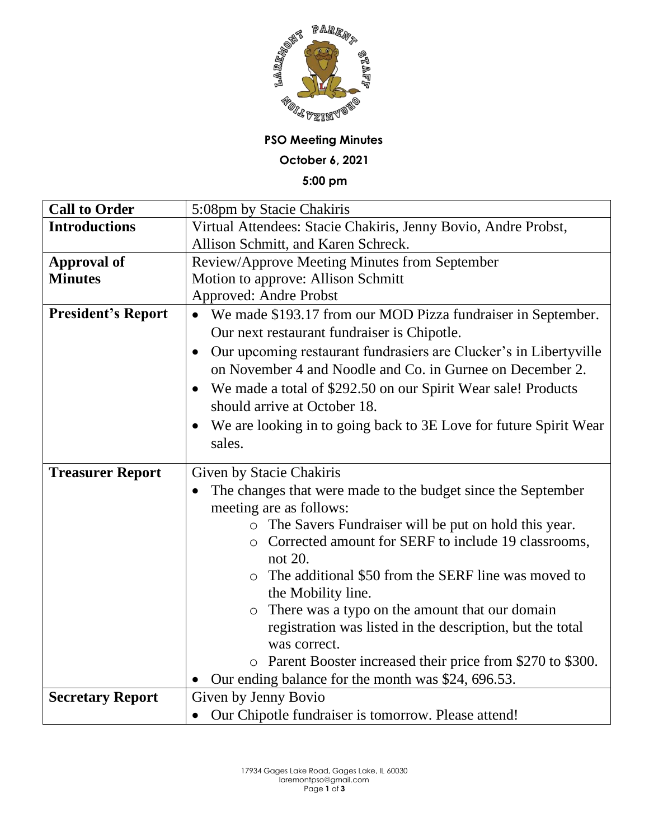

## **PSO Meeting Minutes**

**October 6, 2021**

**5:00 pm**

| <b>Call to Order</b>      | 5:08pm by Stacie Chakiris                                                      |
|---------------------------|--------------------------------------------------------------------------------|
| <b>Introductions</b>      | Virtual Attendees: Stacie Chakiris, Jenny Bovio, Andre Probst,                 |
|                           | Allison Schmitt, and Karen Schreck.                                            |
| <b>Approval of</b>        | Review/Approve Meeting Minutes from September                                  |
| <b>Minutes</b>            | Motion to approve: Allison Schmitt                                             |
|                           | <b>Approved: Andre Probst</b>                                                  |
| <b>President's Report</b> | We made \$193.17 from our MOD Pizza fundraiser in September.                   |
|                           | Our next restaurant fundraiser is Chipotle.                                    |
|                           | Our upcoming restaurant fundrasiers are Clucker's in Libertyville<br>$\bullet$ |
|                           | on November 4 and Noodle and Co. in Gurnee on December 2.                      |
|                           | We made a total of \$292.50 on our Spirit Wear sale! Products                  |
|                           | should arrive at October 18.                                                   |
|                           | We are looking in to going back to 3E Love for future Spirit Wear              |
|                           | sales.                                                                         |
| <b>Treasurer Report</b>   | Given by Stacie Chakiris                                                       |
|                           |                                                                                |
|                           |                                                                                |
|                           | The changes that were made to the budget since the September                   |
|                           | meeting are as follows:                                                        |
|                           | o The Savers Fundraiser will be put on hold this year.                         |
|                           | Corrected amount for SERF to include 19 classrooms,<br>$\circ$                 |
|                           | not 20.<br>$\circ$                                                             |
|                           | The additional \$50 from the SERF line was moved to                            |
|                           | the Mobility line.                                                             |
|                           | There was a typo on the amount that our domain                                 |
|                           | registration was listed in the description, but the total<br>was correct.      |
|                           | o Parent Booster increased their price from \$270 to \$300.                    |
|                           | Our ending balance for the month was \$24, 696.53.                             |
| <b>Secretary Report</b>   | Given by Jenny Bovio                                                           |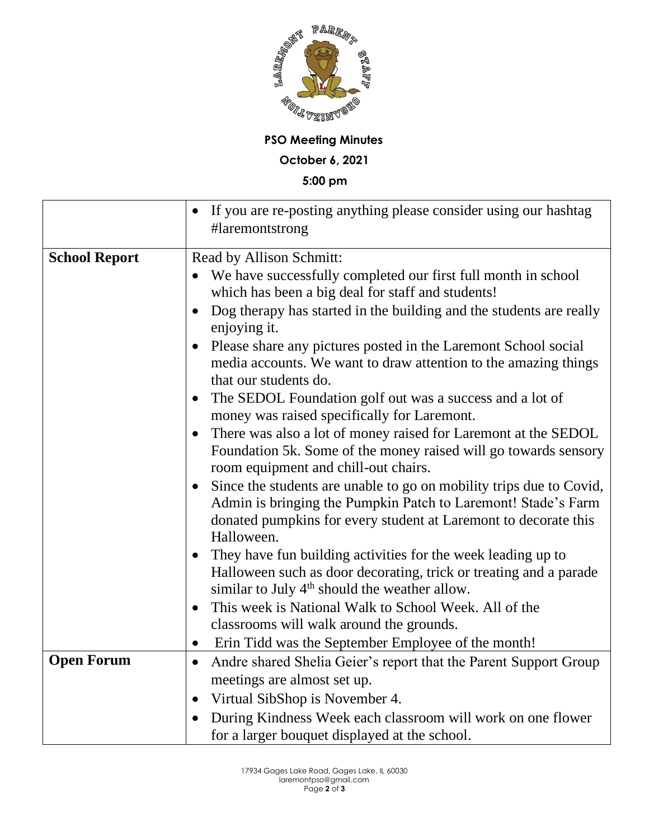

**PSO Meeting Minutes**

**October 6, 2021**

**5:00 pm**

|                      | If you are re-posting anything please consider using our hashtag<br>#laremontstrong                                                                                                                                   |
|----------------------|-----------------------------------------------------------------------------------------------------------------------------------------------------------------------------------------------------------------------|
| <b>School Report</b> | Read by Allison Schmitt:<br>We have successfully completed our first full month in school<br>which has been a big deal for staff and students!<br>Dog therapy has started in the building and the students are really |
|                      | enjoying it.<br>Please share any pictures posted in the Laremont School social<br>media accounts. We want to draw attention to the amazing things<br>that our students do.                                            |
|                      | The SEDOL Foundation golf out was a success and a lot of<br>money was raised specifically for Laremont.                                                                                                               |
|                      | There was also a lot of money raised for Laremont at the SEDOL<br>Foundation 5k. Some of the money raised will go towards sensory<br>room equipment and chill-out chairs.                                             |
|                      | Since the students are unable to go on mobility trips due to Covid,<br>Admin is bringing the Pumpkin Patch to Laremont! Stade's Farm<br>donated pumpkins for every student at Laremont to decorate this<br>Halloween. |
|                      | They have fun building activities for the week leading up to<br>$\bullet$<br>Halloween such as door decorating, trick or treating and a parade<br>similar to July $4th$ should the weather allow.                     |
|                      | This week is National Walk to School Week. All of the<br>$\bullet$<br>classrooms will walk around the grounds.                                                                                                        |
|                      | Erin Tidd was the September Employee of the month!                                                                                                                                                                    |
| <b>Open Forum</b>    | Andre shared Shelia Geier's report that the Parent Support Group<br>$\bullet$                                                                                                                                         |
|                      | meetings are almost set up.                                                                                                                                                                                           |
|                      | Virtual SibShop is November 4.<br>$\bullet$                                                                                                                                                                           |
|                      | During Kindness Week each classroom will work on one flower                                                                                                                                                           |
|                      | for a larger bouquet displayed at the school.                                                                                                                                                                         |